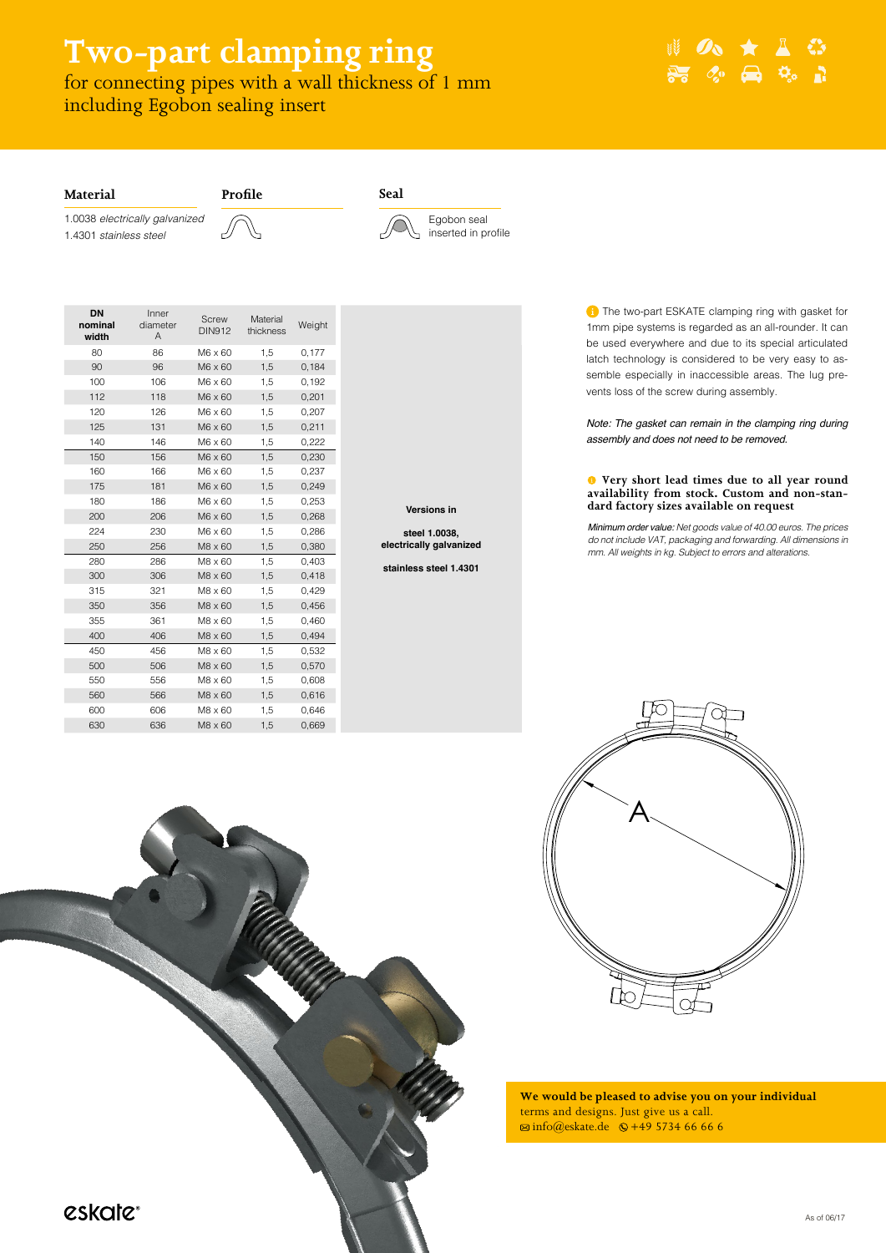As of 06/17

**T** The two-part ESKATE clamping ring with gasket for 1mm pipe systems is regarded as an all-rounder. It can be used everywhere and due to its special articulated latch technology is considered to be very easy to assemble especially in inaccessible areas. The lug prevents loss of the screw during assembly.

Note: The gasket can remain in the clamping ring during *assembly and does not need to be removed.*





**Versions in**

**steel 1.0038, electrically galvanized**

**stainless steel 1.4301**

# **We would be pleased to advise you on your individual**  terms and designs. Just give us a call.  $\overline{\otimes}$  info@eskate.de  $\overline{\otimes}$  +49 5734 66 66 6



# **Two-part clamping ring**

for connecting pipes with a wall thickness of 1 mm including Egobon sealing insert

Minimum order value: *Net goods value of 40.00 euros. The prices do not include VAT, packaging and forwarding. All dimensions in mm. All weights in kg. Subject to errors and alterations.*

### **Very short lead times due to all year round availability from stock. Custom and non-standard factory sizes available on request**

**Profile Seal**





1.0038 *electrically galvanized* 1.4301 *stainless steel*



## **Material**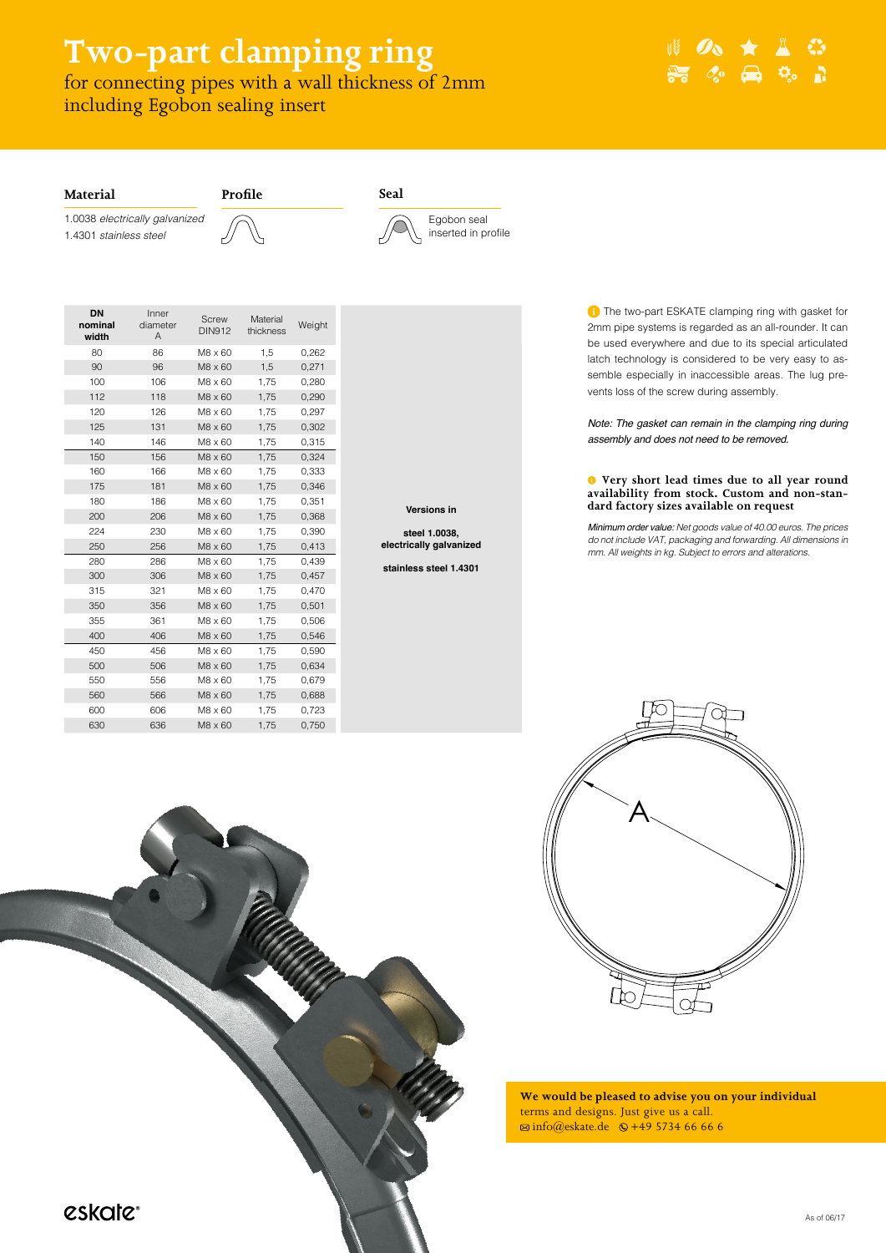As of 06/17

**T** The two-part ESKATE clamping ring with gasket for 2mm pipe systems is regarded as an all-rounder. It can be used everywhere and due to its special articulated latch technology is considered to be very easy to assemble especially in inaccessible areas. The lug prevents loss of the screw during assembly.

Note: The gasket can remain in the clamping ring during *assembly and does not need to be removed.*





**Versions in**

**steel 1.0038, electrically galvanized**

**stainless steel 1.4301**

# **We would be pleased to advise you on your individual**  terms and designs. Just give us a call.  $\overline{\otimes}$  info@eskate.de  $\overline{\otimes}$  +49 5734 66 66 6



# **Two-part clamping ring**

for connecting pipes with a wall thickness of 2mm including Egobon sealing insert

**Profile Seal**



1.0038 *electrically galvanized* 1.4301 *stainless steel*



# **Material**

Minimum order value: *Net goods value of 40.00 euros. The prices do not include VAT, packaging and forwarding. All dimensions in mm. All weights in kg. Subject to errors and alterations.*

### **Very short lead times due to all year round availability from stock. Custom and non-standard factory sizes available on request**